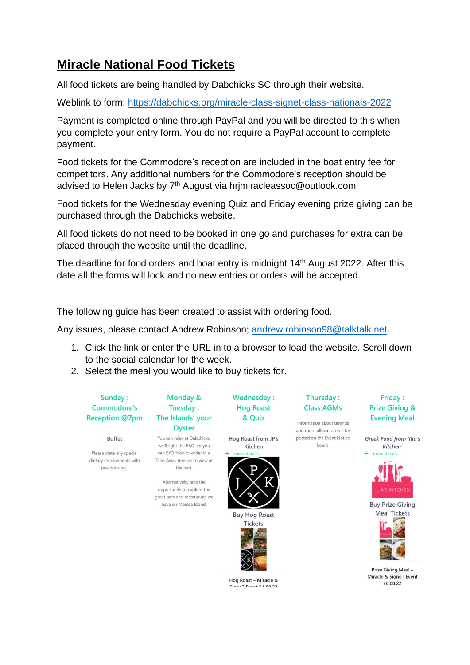## **Miracle National Food Tickets**

All food tickets are being handled by Dabchicks SC through their website.

Weblink to form:<https://dabchicks.org/miracle-class-signet-class-nationals-2022>

Payment is completed online through PayPal and you will be directed to this when you complete your entry form. You do not require a PayPal account to complete payment.

Food tickets for the Commodore's reception are included in the boat entry fee for competitors. Any additional numbers for the Commodore's reception should be advised to Helen Jacks by 7<sup>th</sup> August via hrjmiracleassoc@outlook.com

Food tickets for the Wednesday evening Quiz and Friday evening prize giving can be purchased through the Dabchicks website.

All food tickets do not need to be booked in one go and purchases for extra can be placed through the website until the deadline.

The deadline for food orders and boat entry is midnight 14<sup>th</sup> August 2022. After this date all the forms will lock and no new entries or orders will be accepted.

The following guide has been created to assist with ordering food.

Any issues, please contact Andrew Robinson; [andrew.robinson98@talktalk.net.](mailto:andrew.robinson98@talktalk.net)

- 1. Click the link or enter the URL in to a browser to load the website. Scroll down to the social calendar for the week.
- 2. Select the meal you would like to buy tickets for.

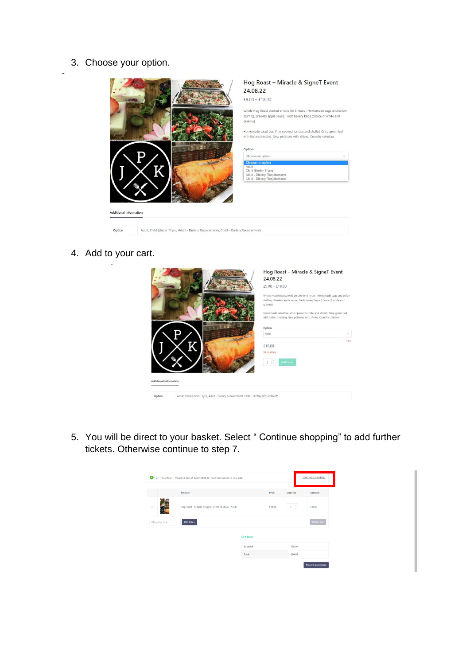3. Choose your option.



Adult, Child (Under 11yrs), Adult - Dietary Requirements, Child - Dietary Requirements

## Hog Roast - Miracle & SigneT Event 24.08.22

 $£9.00 - £18.00$ 

Whole Hog Roast cooked on site for 8 hours , Homemade sage and onion<br>stuffing, Bramley apple sauce, Fresh bakery baps (choice of white and<br>granary)

Homemade salad bar, Vine ripened tomato and shallot, Crisp green leaf<br>with Italian dressing, New potatoes with chives, Crunchy coleslaw

Option

## Choose an option Choose an option<br>Adult<br>Child (Under 11yrs)<br>Adult - Dietary Requirements<br>Child - Dietary Requirements

4. Add to your cart.

Option

|                        |                                                                                        | Hog Roast - Miracle & SigneT Event<br>24.08.22                                                                                                           |        |
|------------------------|----------------------------------------------------------------------------------------|----------------------------------------------------------------------------------------------------------------------------------------------------------|--------|
|                        |                                                                                        | $£9.00 - £18.00$                                                                                                                                         |        |
|                        |                                                                                        | Whole Hog Roast cooked on site for 8 hours, Homemade sage and onion<br>stuffing, Bramley apple sauce, Fresh bakery baps (choice of white and<br>granary) |        |
|                        |                                                                                        | Homemade salad bar, Vine ripened tomato and shallot, Crisp green leaf<br>with Italian dressing, New potatoes with chives, Crunchy coleslaw               |        |
|                        |                                                                                        | Option                                                                                                                                                   |        |
|                        |                                                                                        | Adult                                                                                                                                                    | $\sim$ |
|                        |                                                                                        | £18.00                                                                                                                                                   | Clear  |
|                        |                                                                                        | 10 in stock                                                                                                                                              |        |
|                        |                                                                                        | Add to cart<br>$2 \odot$                                                                                                                                 |        |
|                        |                                                                                        |                                                                                                                                                          |        |
| Additional information |                                                                                        |                                                                                                                                                          |        |
|                        |                                                                                        |                                                                                                                                                          |        |
| Option                 | Adult, Child (Under 11yrs), Adult - Dietary Requirements, Child - Dietary Requirements |                                                                                                                                                          |        |

5. You will be direct to your basket. Select " Continue shopping" to add further tickets. Otherwise continue to step 7.

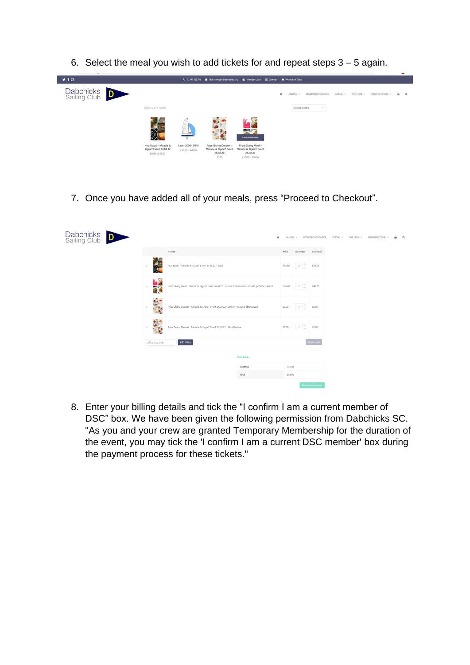6. Select the meal you wish to add tickets for and repeat steps 3 – 5 again.



7. Once you have added all of your meals, press "Proceed to Checkout".



8. Enter your billing details and tick the "I confirm I am a current member of DSC" box. We have been given the following permission from Dabchicks SC. "As you and your crew are granted Temporary Membership for the duration of the event, you may tick the 'I confirm I am a current DSC member' box during the payment process for these tickets."